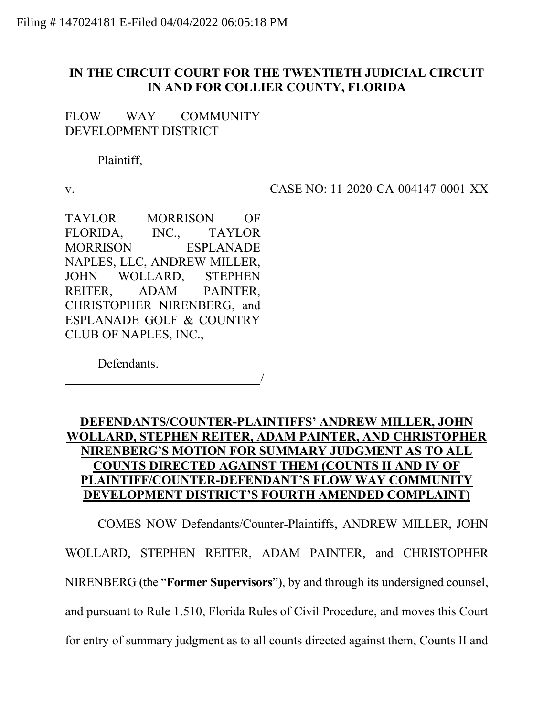## IN THE CIRCUIT COURT FOR THE TWENTIETH JUDICIAL CIRCUIT IN AND FOR COLLIER COUNTY, FLORIDA

FLOW WAY COMMUNITY DEVELOPMENT DISTRICT

Plaintiff,

v. CASE NO: 11-2020-CA-004147-0001-XX

TAYLOR MORRISON OF FLORIDA, INC., TAYLOR MORRISON ESPLANADE NAPLES, LLC, ANDREW MILLER, JOHN WOLLARD, STEPHEN REITER, ADAM PAINTER, CHRISTOPHER NIRENBERG, and ESPLANADE GOLF & COUNTRY CLUB OF NAPLES, INC.,

Defendants.

<u>/</u>

## DEFENDANTS/COUNTER-PLAINTIFFS' ANDREW MILLER, JOHN WOLLARD, STEPHEN REITER, ADAM PAINTER, AND CHRISTOPHER NIRENBERG'S MOTION FOR SUMMARY JUDGMENT AS TO ALL COUNTS DIRECTED AGAINST THEM (COUNTS II AND IV OF PLAINTIFF/COUNTER-DEFENDANT'S FLOW WAY COMMUNITY DEVELOPMENT DISTRICT'S FOURTH AMENDED COMPLAINT)

 COMES NOW Defendants/Counter-Plaintiffs, ANDREW MILLER, JOHN WOLLARD, STEPHEN REITER, ADAM PAINTER, and CHRISTOPHER NIRENBERG (the "Former Supervisors"), by and through its undersigned counsel, and pursuant to Rule 1.510, Florida Rules of Civil Procedure, and moves this Court for entry of summary judgment as to all counts directed against them, Counts II and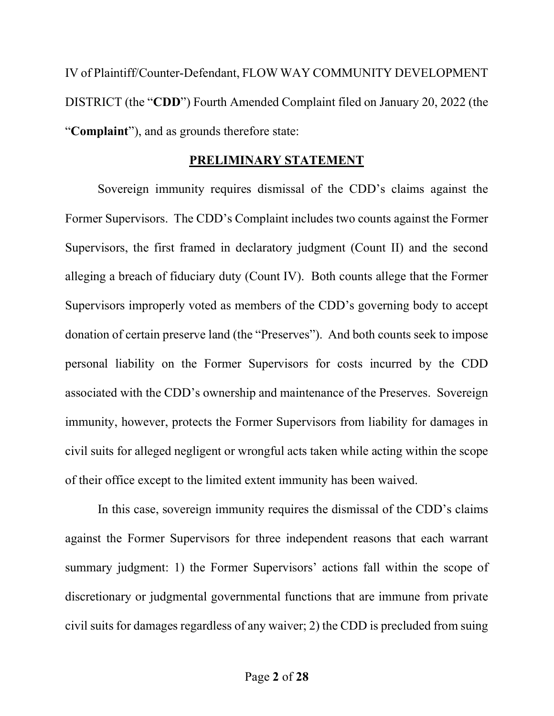IV of Plaintiff/Counter-Defendant, FLOW WAY COMMUNITY DEVELOPMENT DISTRICT (the "CDD") Fourth Amended Complaint filed on January 20, 2022 (the "Complaint"), and as grounds therefore state:

### PRELIMINARY STATEMENT

Sovereign immunity requires dismissal of the CDD's claims against the Former Supervisors. The CDD's Complaint includes two counts against the Former Supervisors, the first framed in declaratory judgment (Count II) and the second alleging a breach of fiduciary duty (Count IV). Both counts allege that the Former Supervisors improperly voted as members of the CDD's governing body to accept donation of certain preserve land (the "Preserves"). And both counts seek to impose personal liability on the Former Supervisors for costs incurred by the CDD associated with the CDD's ownership and maintenance of the Preserves. Sovereign immunity, however, protects the Former Supervisors from liability for damages in civil suits for alleged negligent or wrongful acts taken while acting within the scope of their office except to the limited extent immunity has been waived.

In this case, sovereign immunity requires the dismissal of the CDD's claims against the Former Supervisors for three independent reasons that each warrant summary judgment: 1) the Former Supervisors' actions fall within the scope of discretionary or judgmental governmental functions that are immune from private civil suits for damages regardless of any waiver; 2) the CDD is precluded from suing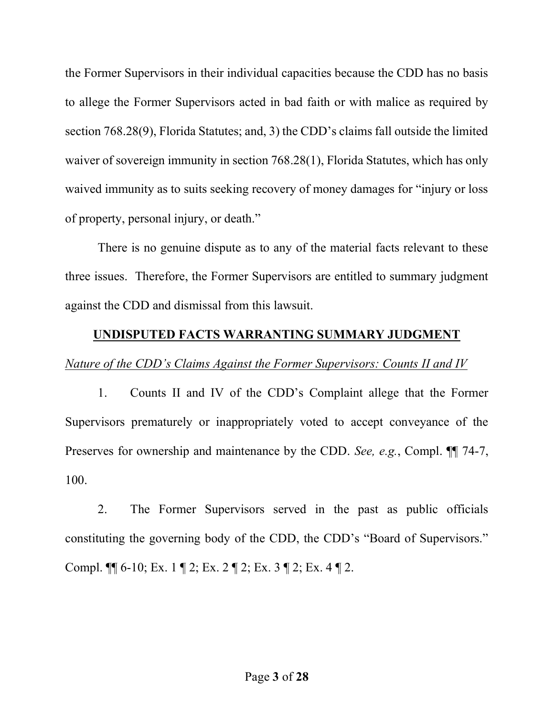the Former Supervisors in their individual capacities because the CDD has no basis to allege the Former Supervisors acted in bad faith or with malice as required by section 768.28(9), Florida Statutes; and, 3) the CDD's claims fall outside the limited waiver of sovereign immunity in section 768.28(1), Florida Statutes, which has only waived immunity as to suits seeking recovery of money damages for "injury or loss of property, personal injury, or death."

There is no genuine dispute as to any of the material facts relevant to these three issues. Therefore, the Former Supervisors are entitled to summary judgment against the CDD and dismissal from this lawsuit.

### UNDISPUTED FACTS WARRANTING SUMMARY JUDGMENT

### Nature of the CDD's Claims Against the Former Supervisors: Counts II and IV

1. Counts II and IV of the CDD's Complaint allege that the Former Supervisors prematurely or inappropriately voted to accept conveyance of the Preserves for ownership and maintenance by the CDD. See, e.g., Compl.  $\P$  74-7, 100.

2. The Former Supervisors served in the past as public officials constituting the governing body of the CDD, the CDD's "Board of Supervisors." Compl. ¶¶ 6-10; Ex. 1 ¶ 2; Ex. 2 ¶ 2; Ex. 3 ¶ 2; Ex. 4 ¶ 2.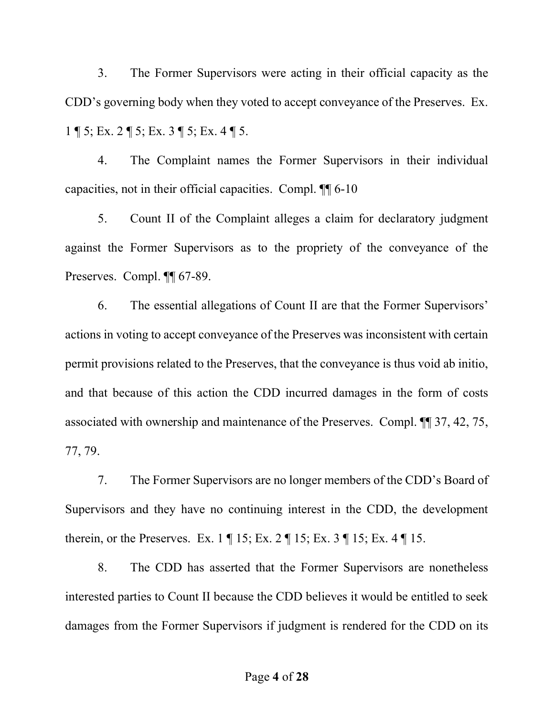3. The Former Supervisors were acting in their official capacity as the CDD's governing body when they voted to accept conveyance of the Preserves. Ex. 1 ¶ 5; Ex. 2 ¶ 5; Ex. 3 ¶ 5; Ex. 4 ¶ 5.

4. The Complaint names the Former Supervisors in their individual capacities, not in their official capacities. Compl. ¶¶ 6-10

5. Count II of the Complaint alleges a claim for declaratory judgment against the Former Supervisors as to the propriety of the conveyance of the Preserves. Compl. ¶¶ 67-89.

6. The essential allegations of Count II are that the Former Supervisors' actions in voting to accept conveyance of the Preserves was inconsistent with certain permit provisions related to the Preserves, that the conveyance is thus void ab initio, and that because of this action the CDD incurred damages in the form of costs associated with ownership and maintenance of the Preserves. Compl. ¶¶ 37, 42, 75, 77, 79.

7. The Former Supervisors are no longer members of the CDD's Board of Supervisors and they have no continuing interest in the CDD, the development therein, or the Preserves. Ex. 1 ¶ 15; Ex. 2 ¶ 15; Ex. 3 ¶ 15; Ex. 4 ¶ 15.

8. The CDD has asserted that the Former Supervisors are nonetheless interested parties to Count II because the CDD believes it would be entitled to seek damages from the Former Supervisors if judgment is rendered for the CDD on its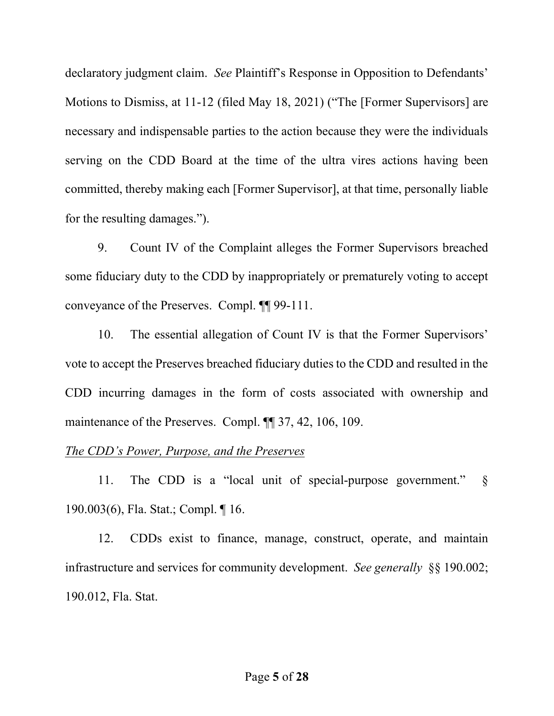declaratory judgment claim. See Plaintiff's Response in Opposition to Defendants' Motions to Dismiss, at 11-12 (filed May 18, 2021) ("The [Former Supervisors] are necessary and indispensable parties to the action because they were the individuals serving on the CDD Board at the time of the ultra vires actions having been committed, thereby making each [Former Supervisor], at that time, personally liable for the resulting damages.").

9. Count IV of the Complaint alleges the Former Supervisors breached some fiduciary duty to the CDD by inappropriately or prematurely voting to accept conveyance of the Preserves. Compl. ¶¶ 99-111.

10. The essential allegation of Count IV is that the Former Supervisors' vote to accept the Preserves breached fiduciary duties to the CDD and resulted in the CDD incurring damages in the form of costs associated with ownership and maintenance of the Preserves. Compl. ¶¶ 37, 42, 106, 109.

### The CDD's Power, Purpose, and the Preserves

11. The CDD is a "local unit of special-purpose government." § 190.003(6), Fla. Stat.; Compl. ¶ 16.

12. CDDs exist to finance, manage, construct, operate, and maintain infrastructure and services for community development. See generally §§ 190.002; 190.012, Fla. Stat.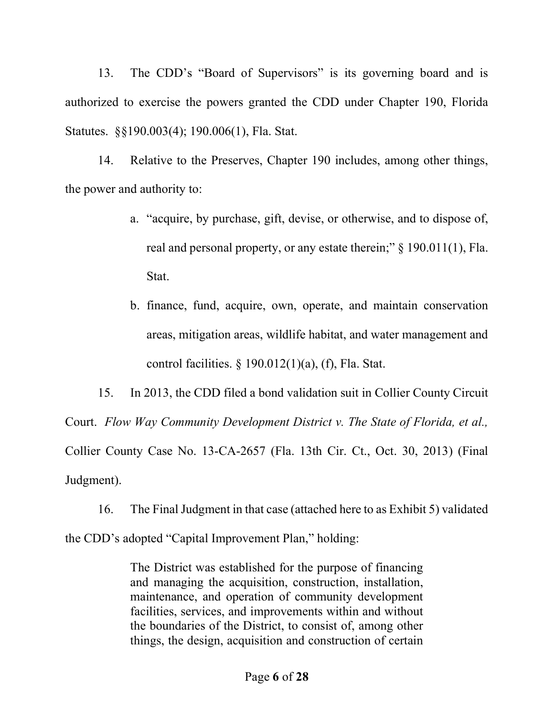13. The CDD's "Board of Supervisors" is its governing board and is authorized to exercise the powers granted the CDD under Chapter 190, Florida Statutes. §§190.003(4); 190.006(1), Fla. Stat.

14. Relative to the Preserves, Chapter 190 includes, among other things, the power and authority to:

- a. "acquire, by purchase, gift, devise, or otherwise, and to dispose of, real and personal property, or any estate therein;" § 190.011(1), Fla. Stat.
- b. finance, fund, acquire, own, operate, and maintain conservation areas, mitigation areas, wildlife habitat, and water management and control facilities.  $\S$  190.012(1)(a), (f), Fla. Stat.

15. In 2013, the CDD filed a bond validation suit in Collier County Circuit Court. Flow Way Community Development District v. The State of Florida, et al., Collier County Case No. 13-CA-2657 (Fla. 13th Cir. Ct., Oct. 30, 2013) (Final Judgment).

16. The Final Judgment in that case (attached here to as Exhibit 5) validated the CDD's adopted "Capital Improvement Plan," holding:

> The District was established for the purpose of financing and managing the acquisition, construction, installation, maintenance, and operation of community development facilities, services, and improvements within and without the boundaries of the District, to consist of, among other things, the design, acquisition and construction of certain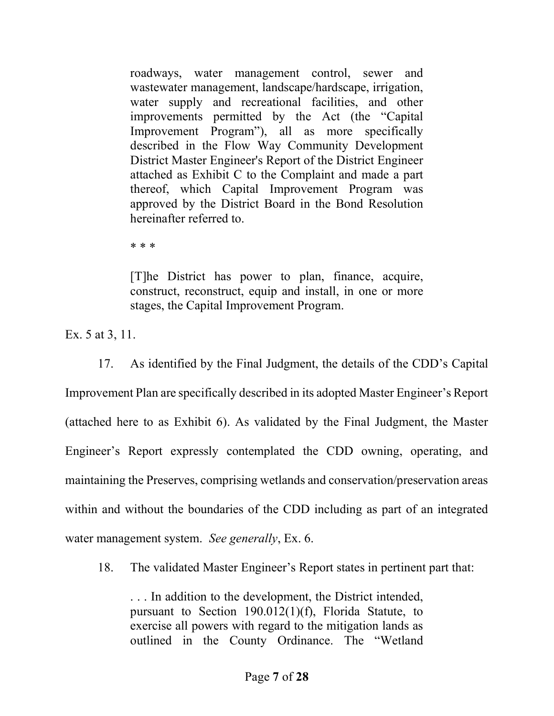roadways, water management control, sewer and wastewater management, landscape/hardscape, irrigation, water supply and recreational facilities, and other improvements permitted by the Act (the "Capital Improvement Program"), all as more specifically described in the Flow Way Community Development District Master Engineer's Report of the District Engineer attached as Exhibit C to the Complaint and made a part thereof, which Capital Improvement Program was approved by the District Board in the Bond Resolution hereinafter referred to.

\* \* \*

[T]he District has power to plan, finance, acquire, construct, reconstruct, equip and install, in one or more stages, the Capital Improvement Program.

Ex. 5 at 3, 11.

17. As identified by the Final Judgment, the details of the CDD's Capital Improvement Plan are specifically described in its adopted Master Engineer's Report (attached here to as Exhibit 6). As validated by the Final Judgment, the Master Engineer's Report expressly contemplated the CDD owning, operating, and maintaining the Preserves, comprising wetlands and conservation/preservation areas within and without the boundaries of the CDD including as part of an integrated water management system. See generally, Ex. 6.

18. The validated Master Engineer's Report states in pertinent part that:

. . . In addition to the development, the District intended, pursuant to Section 190.012(1)(f), Florida Statute, to exercise all powers with regard to the mitigation lands as outlined in the County Ordinance. The "Wetland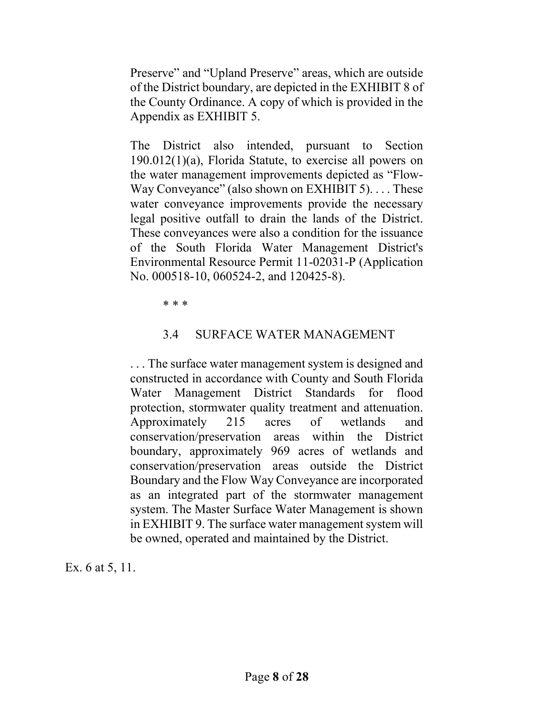Preserve" and "Upland Preserve" areas, which are outside of the District boundary, are depicted in the EXHIBIT 8 of the County Ordinance. A copy of which is provided in the Appendix as EXHIBIT 5.

The District also intended, pursuant to Section 190.012(1)(a), Florida Statute, to exercise all powers on the water management improvements depicted as "Flow-Way Conveyance" (also shown on EXHIBIT 5). . . . These water conveyance improvements provide the necessary legal positive outfall to drain the lands of the District. These conveyances were also a condition for the issuance of the South Florida Water Management District's Environmental Resource Permit 11-02031-P (Application No. 000518-10, 060524-2, and 120425-8).

\* \* \*

## 3.4 SURFACE WATER MANAGEMENT

. . . The surface water management system is designed and constructed in accordance with County and South Florida Water Management District Standards for flood protection, stormwater quality treatment and attenuation. Approximately 215 acres of wetlands and conservation/preservation areas within the District boundary, approximately 969 acres of wetlands and conservation/preservation areas outside the District Boundary and the Flow Way Conveyance are incorporated as an integrated part of the stormwater management system. The Master Surface Water Management is shown in EXHIBIT 9. The surface water management system will be owned, operated and maintained by the District.

Ex. 6 at 5, 11.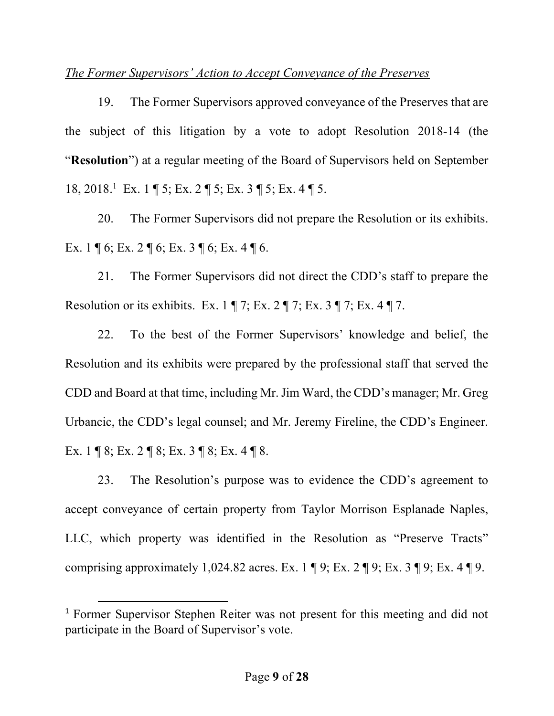### The Former Supervisors' Action to Accept Conveyance of the Preserves

19. The Former Supervisors approved conveyance of the Preserves that are the subject of this litigation by a vote to adopt Resolution 2018-14 (the "Resolution") at a regular meeting of the Board of Supervisors held on September 18, 2018.<sup>1</sup> Ex. 1 ¶ 5; Ex. 2 ¶ 5; Ex. 3 ¶ 5; Ex. 4 ¶ 5.

20. The Former Supervisors did not prepare the Resolution or its exhibits. Ex. 1 ¶ 6; Ex. 2 ¶ 6; Ex. 3 ¶ 6; Ex. 4 ¶ 6.

21. The Former Supervisors did not direct the CDD's staff to prepare the Resolution or its exhibits. Ex.  $1 \nvert 7$ ; Ex.  $2 \nvert 7$ ; Ex.  $3 \nvert 7$ ; Ex.  $4 \nvert 7$ .

22. To the best of the Former Supervisors' knowledge and belief, the Resolution and its exhibits were prepared by the professional staff that served the CDD and Board at that time, including Mr. Jim Ward, the CDD's manager; Mr. Greg Urbancic, the CDD's legal counsel; and Mr. Jeremy Fireline, the CDD's Engineer. Ex. 1 ¶ 8; Ex. 2 ¶ 8; Ex. 3 ¶ 8; Ex. 4 ¶ 8.

23. The Resolution's purpose was to evidence the CDD's agreement to accept conveyance of certain property from Taylor Morrison Esplanade Naples, LLC, which property was identified in the Resolution as "Preserve Tracts" comprising approximately 1,024.82 acres. Ex.  $1 \nvert \nvert 9$ ; Ex.  $2 \nvert \nvert 9$ ; Ex.  $3 \nvert \nvert 9$ ; Ex.  $4 \nvert \nvert 9$ .

<sup>1</sup> Former Supervisor Stephen Reiter was not present for this meeting and did not participate in the Board of Supervisor's vote.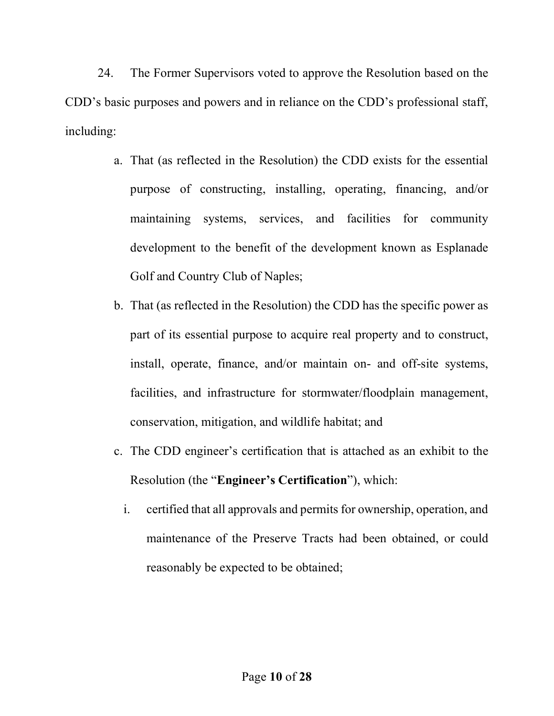24. The Former Supervisors voted to approve the Resolution based on the CDD's basic purposes and powers and in reliance on the CDD's professional staff, including:

- a. That (as reflected in the Resolution) the CDD exists for the essential purpose of constructing, installing, operating, financing, and/or maintaining systems, services, and facilities for community development to the benefit of the development known as Esplanade Golf and Country Club of Naples;
- b. That (as reflected in the Resolution) the CDD has the specific power as part of its essential purpose to acquire real property and to construct, install, operate, finance, and/or maintain on- and off-site systems, facilities, and infrastructure for stormwater/floodplain management, conservation, mitigation, and wildlife habitat; and
- c. The CDD engineer's certification that is attached as an exhibit to the Resolution (the "Engineer's Certification"), which:
	- i. certified that all approvals and permits for ownership, operation, and maintenance of the Preserve Tracts had been obtained, or could reasonably be expected to be obtained;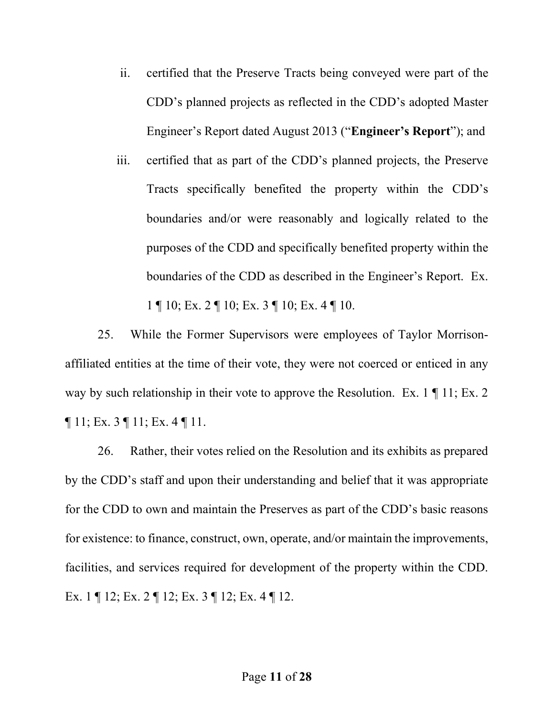- ii. certified that the Preserve Tracts being conveyed were part of the CDD's planned projects as reflected in the CDD's adopted Master Engineer's Report dated August 2013 ("Engineer's Report"); and
- iii. certified that as part of the CDD's planned projects, the Preserve Tracts specifically benefited the property within the CDD's boundaries and/or were reasonably and logically related to the purposes of the CDD and specifically benefited property within the boundaries of the CDD as described in the Engineer's Report. Ex. 1 ¶ 10; Ex. 2 ¶ 10; Ex. 3 ¶ 10; Ex. 4 ¶ 10.

25. While the Former Supervisors were employees of Taylor Morrisonaffiliated entities at the time of their vote, they were not coerced or enticed in any way by such relationship in their vote to approve the Resolution. Ex. 1 | 11; Ex. 2  $\P$  11; Ex. 3  $\P$  11; Ex. 4  $\P$  11.

26. Rather, their votes relied on the Resolution and its exhibits as prepared by the CDD's staff and upon their understanding and belief that it was appropriate for the CDD to own and maintain the Preserves as part of the CDD's basic reasons for existence: to finance, construct, own, operate, and/or maintain the improvements, facilities, and services required for development of the property within the CDD. Ex. 1 ¶ 12; Ex. 2 ¶ 12; Ex. 3 ¶ 12; Ex. 4 ¶ 12.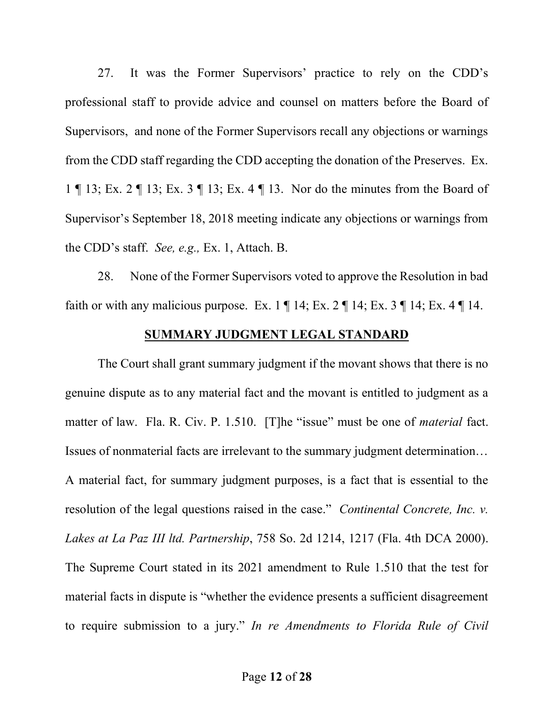27. It was the Former Supervisors' practice to rely on the CDD's professional staff to provide advice and counsel on matters before the Board of Supervisors, and none of the Former Supervisors recall any objections or warnings from the CDD staff regarding the CDD accepting the donation of the Preserves. Ex. 1 ¶ 13; Ex. 2 ¶ 13; Ex. 3 ¶ 13; Ex. 4 ¶ 13. Nor do the minutes from the Board of Supervisor's September 18, 2018 meeting indicate any objections or warnings from the CDD's staff. See, e.g., Ex. 1, Attach. B.

28. None of the Former Supervisors voted to approve the Resolution in bad faith or with any malicious purpose. Ex.  $1 \parallel 14$ ; Ex.  $2 \parallel 14$ ; Ex.  $3 \parallel 14$ ; Ex.  $4 \parallel 14$ .

### SUMMARY JUDGMENT LEGAL STANDARD

The Court shall grant summary judgment if the movant shows that there is no genuine dispute as to any material fact and the movant is entitled to judgment as a matter of law. Fla. R. Civ. P. 1.510. [T]he "issue" must be one of *material* fact. Issues of nonmaterial facts are irrelevant to the summary judgment determination… A material fact, for summary judgment purposes, is a fact that is essential to the resolution of the legal questions raised in the case." *Continental Concrete, Inc. v.* Lakes at La Paz III ltd. Partnership, 758 So. 2d 1214, 1217 (Fla. 4th DCA 2000). The Supreme Court stated in its 2021 amendment to Rule 1.510 that the test for material facts in dispute is "whether the evidence presents a sufficient disagreement to require submission to a jury." In re Amendments to Florida Rule of Civil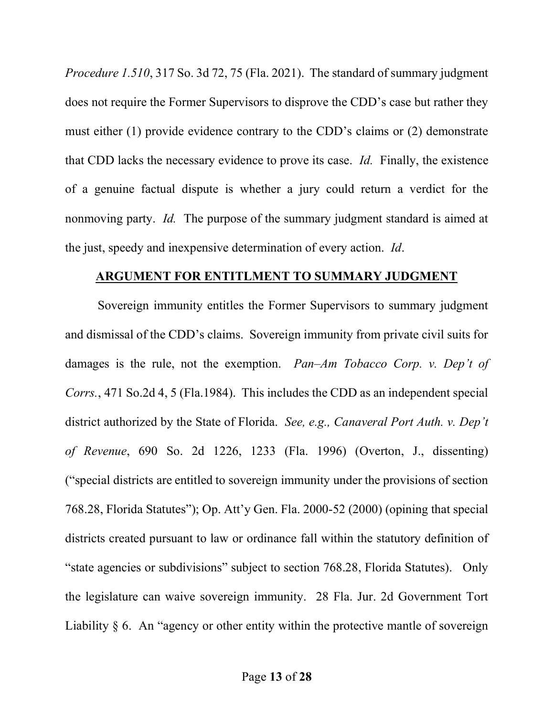Procedure 1.510, 317 So. 3d 72, 75 (Fla. 2021). The standard of summary judgment does not require the Former Supervisors to disprove the CDD's case but rather they must either (1) provide evidence contrary to the CDD's claims or (2) demonstrate that CDD lacks the necessary evidence to prove its case. Id. Finally, the existence of a genuine factual dispute is whether a jury could return a verdict for the nonmoving party. *Id.* The purpose of the summary judgment standard is aimed at the just, speedy and inexpensive determination of every action. Id.

#### ARGUMENT FOR ENTITLMENT TO SUMMARY JUDGMENT

Sovereign immunity entitles the Former Supervisors to summary judgment and dismissal of the CDD's claims. Sovereign immunity from private civil suits for damages is the rule, not the exemption. Pan–Am Tobacco Corp. v. Dep't of Corrs., 471 So.2d 4, 5 (Fla.1984). This includes the CDD as an independent special district authorized by the State of Florida. See, e.g., Canaveral Port Auth. v. Dep't of Revenue, 690 So. 2d 1226, 1233 (Fla. 1996) (Overton, J., dissenting) ("special districts are entitled to sovereign immunity under the provisions of section 768.28, Florida Statutes"); Op. Att'y Gen. Fla. 2000-52 (2000) (opining that special districts created pursuant to law or ordinance fall within the statutory definition of "state agencies or subdivisions" subject to section 768.28, Florida Statutes). Only the legislature can waive sovereign immunity. 28 Fla. Jur. 2d Government Tort Liability § 6. An "agency or other entity within the protective mantle of sovereign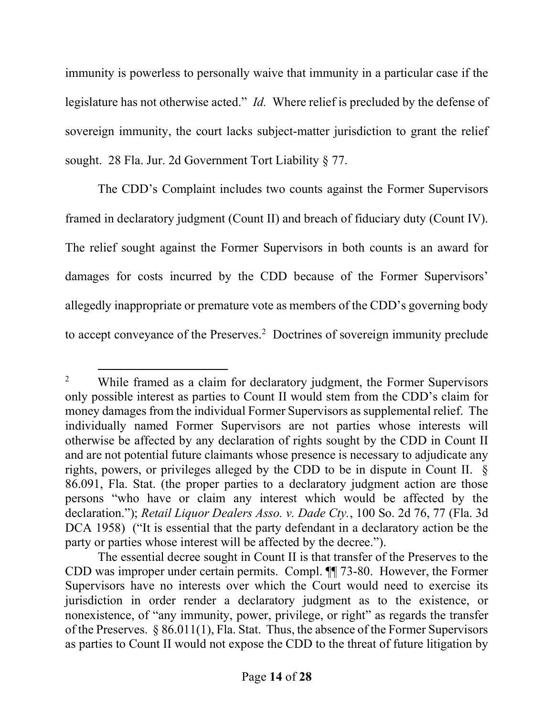immunity is powerless to personally waive that immunity in a particular case if the legislature has not otherwise acted." *Id.* Where relief is precluded by the defense of sovereign immunity, the court lacks subject-matter jurisdiction to grant the relief sought. 28 Fla. Jur. 2d Government Tort Liability § 77.

The CDD's Complaint includes two counts against the Former Supervisors framed in declaratory judgment (Count II) and breach of fiduciary duty (Count IV). The relief sought against the Former Supervisors in both counts is an award for damages for costs incurred by the CDD because of the Former Supervisors' allegedly inappropriate or premature vote as members of the CDD's governing body to accept conveyance of the Preserves.<sup>2</sup> Doctrines of sovereign immunity preclude

<sup>2</sup> While framed as a claim for declaratory judgment, the Former Supervisors only possible interest as parties to Count II would stem from the CDD's claim for money damages from the individual Former Supervisors as supplemental relief. The individually named Former Supervisors are not parties whose interests will otherwise be affected by any declaration of rights sought by the CDD in Count II and are not potential future claimants whose presence is necessary to adjudicate any rights, powers, or privileges alleged by the CDD to be in dispute in Count II. § 86.091, Fla. Stat. (the proper parties to a declaratory judgment action are those persons "who have or claim any interest which would be affected by the declaration."); Retail Liquor Dealers Asso. v. Dade Cty., 100 So. 2d 76, 77 (Fla. 3d DCA 1958) ("It is essential that the party defendant in a declaratory action be the party or parties whose interest will be affected by the decree.").

The essential decree sought in Count II is that transfer of the Preserves to the CDD was improper under certain permits. Compl. ¶¶ 73-80. However, the Former Supervisors have no interests over which the Court would need to exercise its jurisdiction in order render a declaratory judgment as to the existence, or nonexistence, of "any immunity, power, privilege, or right" as regards the transfer of the Preserves. § 86.011(1), Fla. Stat. Thus, the absence of the Former Supervisors as parties to Count II would not expose the CDD to the threat of future litigation by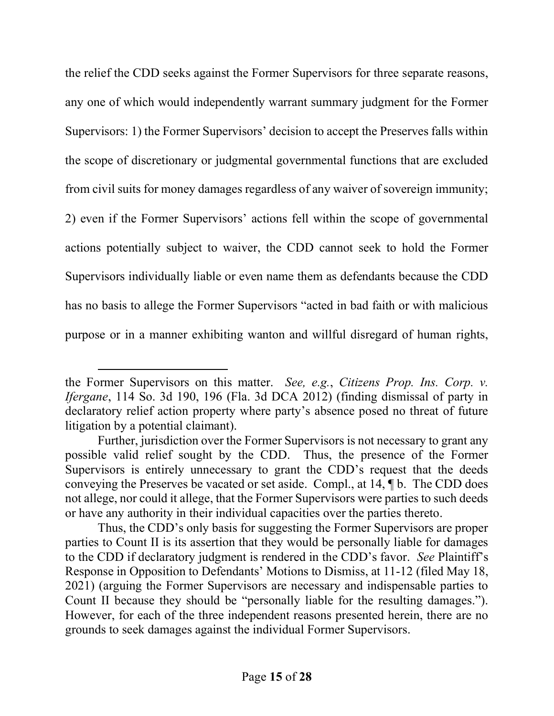the relief the CDD seeks against the Former Supervisors for three separate reasons, any one of which would independently warrant summary judgment for the Former Supervisors: 1) the Former Supervisors' decision to accept the Preserves falls within the scope of discretionary or judgmental governmental functions that are excluded from civil suits for money damages regardless of any waiver of sovereign immunity; 2) even if the Former Supervisors' actions fell within the scope of governmental actions potentially subject to waiver, the CDD cannot seek to hold the Former Supervisors individually liable or even name them as defendants because the CDD has no basis to allege the Former Supervisors "acted in bad faith or with malicious purpose or in a manner exhibiting wanton and willful disregard of human rights,

the Former Supervisors on this matter. See, e.g., Citizens Prop. Ins. Corp. v. Ifergane, 114 So. 3d 190, 196 (Fla. 3d DCA 2012) (finding dismissal of party in declaratory relief action property where party's absence posed no threat of future litigation by a potential claimant).

Further, jurisdiction over the Former Supervisors is not necessary to grant any possible valid relief sought by the CDD. Thus, the presence of the Former Supervisors is entirely unnecessary to grant the CDD's request that the deeds conveying the Preserves be vacated or set aside. Compl., at 14, ¶ b. The CDD does not allege, nor could it allege, that the Former Supervisors were parties to such deeds or have any authority in their individual capacities over the parties thereto.

Thus, the CDD's only basis for suggesting the Former Supervisors are proper parties to Count II is its assertion that they would be personally liable for damages to the CDD if declaratory judgment is rendered in the CDD's favor. See Plaintiff's Response in Opposition to Defendants' Motions to Dismiss, at 11-12 (filed May 18, 2021) (arguing the Former Supervisors are necessary and indispensable parties to Count II because they should be "personally liable for the resulting damages."). However, for each of the three independent reasons presented herein, there are no grounds to seek damages against the individual Former Supervisors.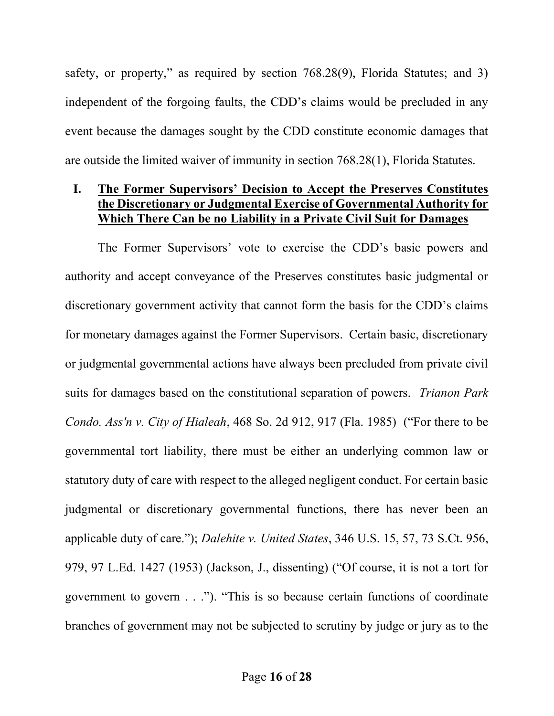safety, or property," as required by section 768.28(9), Florida Statutes; and 3) independent of the forgoing faults, the CDD's claims would be precluded in any event because the damages sought by the CDD constitute economic damages that are outside the limited waiver of immunity in section 768.28(1), Florida Statutes.

### I. The Former Supervisors' Decision to Accept the Preserves Constitutes the Discretionary or Judgmental Exercise of Governmental Authority for Which There Can be no Liability in a Private Civil Suit for Damages

The Former Supervisors' vote to exercise the CDD's basic powers and authority and accept conveyance of the Preserves constitutes basic judgmental or discretionary government activity that cannot form the basis for the CDD's claims for monetary damages against the Former Supervisors. Certain basic, discretionary or judgmental governmental actions have always been precluded from private civil suits for damages based on the constitutional separation of powers. *Trianon Park* Condo. Ass'n v. City of Hialeah, 468 So. 2d 912, 917 (Fla. 1985) ("For there to be governmental tort liability, there must be either an underlying common law or statutory duty of care with respect to the alleged negligent conduct. For certain basic judgmental or discretionary governmental functions, there has never been an applicable duty of care."); Dalehite v. United States, 346 U.S. 15, 57, 73 S.Ct. 956, 979, 97 L.Ed. 1427 (1953) (Jackson, J., dissenting) ("Of course, it is not a tort for government to govern . . ."). "This is so because certain functions of coordinate branches of government may not be subjected to scrutiny by judge or jury as to the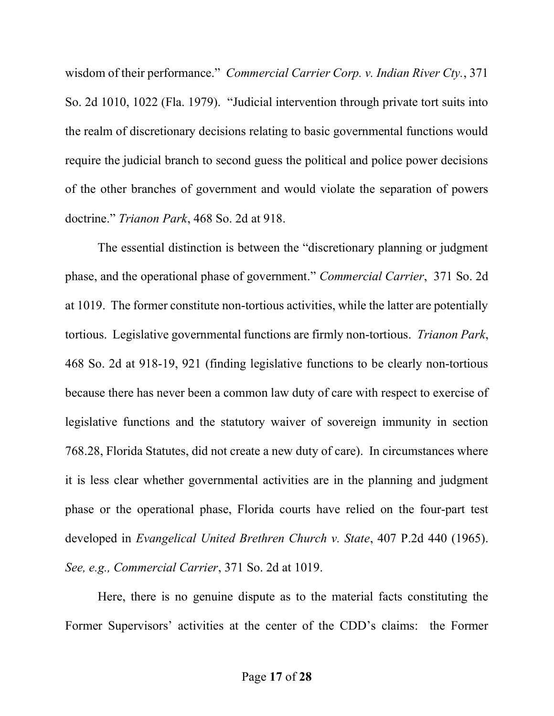wisdom of their performance." Commercial Carrier Corp. v. Indian River Cty., 371 So. 2d 1010, 1022 (Fla. 1979). "Judicial intervention through private tort suits into the realm of discretionary decisions relating to basic governmental functions would require the judicial branch to second guess the political and police power decisions of the other branches of government and would violate the separation of powers doctrine." Trianon Park, 468 So. 2d at 918.

 The essential distinction is between the "discretionary planning or judgment phase, and the operational phase of government." Commercial Carrier, 371 So. 2d at 1019. The former constitute non-tortious activities, while the latter are potentially tortious. Legislative governmental functions are firmly non-tortious. Trianon Park, 468 So. 2d at 918-19, 921 (finding legislative functions to be clearly non-tortious because there has never been a common law duty of care with respect to exercise of legislative functions and the statutory waiver of sovereign immunity in section 768.28, Florida Statutes, did not create a new duty of care). In circumstances where it is less clear whether governmental activities are in the planning and judgment phase or the operational phase, Florida courts have relied on the four-part test developed in Evangelical United Brethren Church v. State, 407 P.2d 440 (1965). See, e.g., Commercial Carrier, 371 So. 2d at 1019.

Here, there is no genuine dispute as to the material facts constituting the Former Supervisors' activities at the center of the CDD's claims: the Former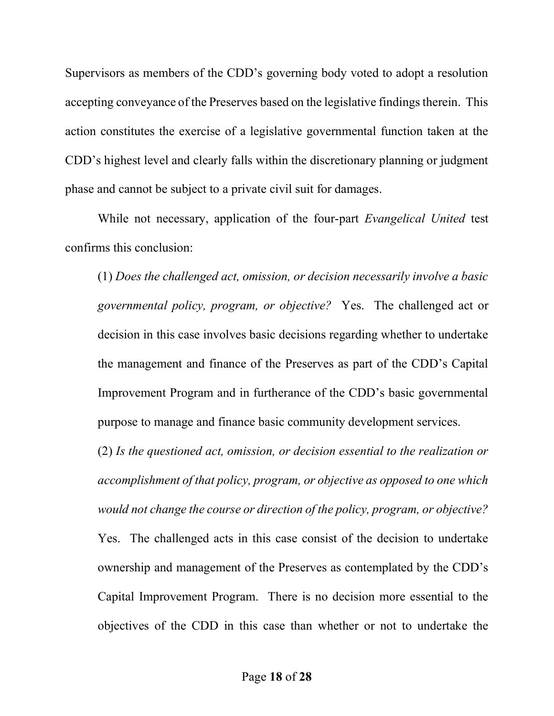Supervisors as members of the CDD's governing body voted to adopt a resolution accepting conveyance of the Preserves based on the legislative findings therein. This action constitutes the exercise of a legislative governmental function taken at the CDD's highest level and clearly falls within the discretionary planning or judgment phase and cannot be subject to a private civil suit for damages.

While not necessary, application of the four-part *Evangelical United* test confirms this conclusion:

(1) Does the challenged act, omission, or decision necessarily involve a basic governmental policy, program, or objective? Yes. The challenged act or decision in this case involves basic decisions regarding whether to undertake the management and finance of the Preserves as part of the CDD's Capital Improvement Program and in furtherance of the CDD's basic governmental purpose to manage and finance basic community development services.

(2) Is the questioned act, omission, or decision essential to the realization or accomplishment of that policy, program, or objective as opposed to one which would not change the course or direction of the policy, program, or objective? Yes. The challenged acts in this case consist of the decision to undertake ownership and management of the Preserves as contemplated by the CDD's Capital Improvement Program. There is no decision more essential to the objectives of the CDD in this case than whether or not to undertake the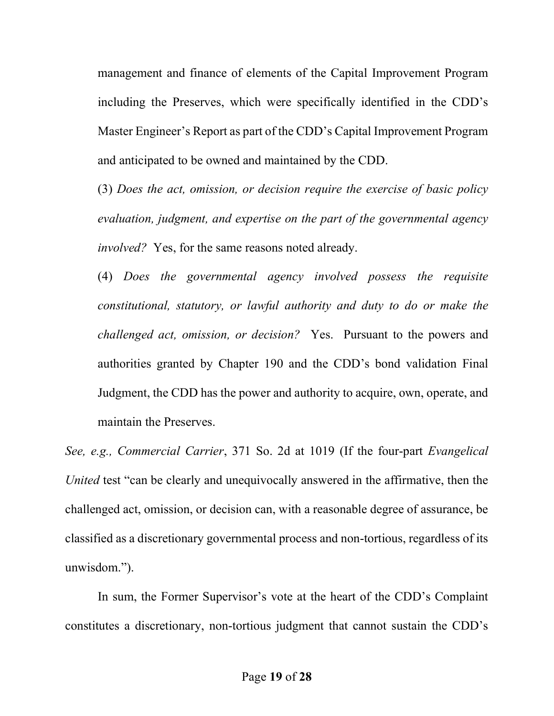management and finance of elements of the Capital Improvement Program including the Preserves, which were specifically identified in the CDD's Master Engineer's Report as part of the CDD's Capital Improvement Program and anticipated to be owned and maintained by the CDD.

(3) Does the act, omission, or decision require the exercise of basic policy evaluation, judgment, and expertise on the part of the governmental agency involved? Yes, for the same reasons noted already.

(4) Does the governmental agency involved possess the requisite constitutional, statutory, or lawful authority and duty to do or make the challenged act, omission, or decision? Yes. Pursuant to the powers and authorities granted by Chapter 190 and the CDD's bond validation Final Judgment, the CDD has the power and authority to acquire, own, operate, and maintain the Preserves.

See, e.g., Commercial Carrier, 371 So. 2d at 1019 (If the four-part Evangelical United test "can be clearly and unequivocally answered in the affirmative, then the challenged act, omission, or decision can, with a reasonable degree of assurance, be classified as a discretionary governmental process and non-tortious, regardless of its unwisdom.").

In sum, the Former Supervisor's vote at the heart of the CDD's Complaint constitutes a discretionary, non-tortious judgment that cannot sustain the CDD's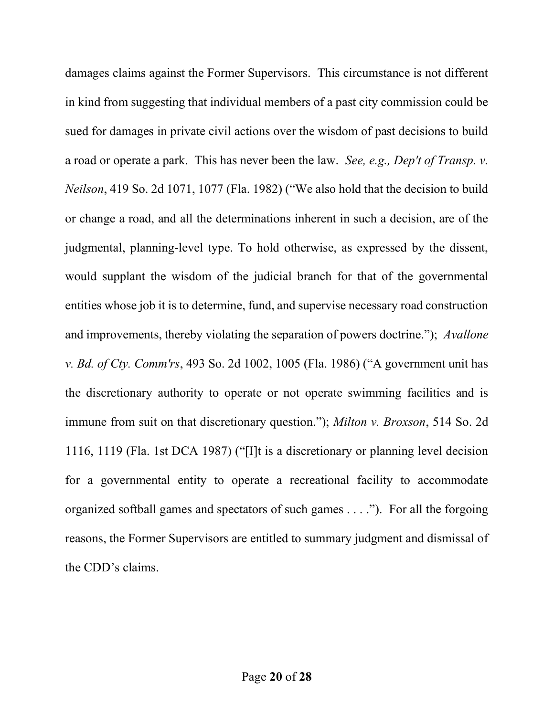damages claims against the Former Supervisors. This circumstance is not different in kind from suggesting that individual members of a past city commission could be sued for damages in private civil actions over the wisdom of past decisions to build a road or operate a park. This has never been the law. See, e.g., Dep't of Transp. v. Neilson, 419 So. 2d 1071, 1077 (Fla. 1982) ("We also hold that the decision to build or change a road, and all the determinations inherent in such a decision, are of the judgmental, planning-level type. To hold otherwise, as expressed by the dissent, would supplant the wisdom of the judicial branch for that of the governmental entities whose job it is to determine, fund, and supervise necessary road construction and improvements, thereby violating the separation of powers doctrine."); Avallone v. Bd. of Cty. Comm'rs, 493 So. 2d 1002, 1005 (Fla. 1986) ("A government unit has the discretionary authority to operate or not operate swimming facilities and is immune from suit on that discretionary question."); Milton v. Broxson, 514 So. 2d 1116, 1119 (Fla. 1st DCA 1987) ("[I]t is a discretionary or planning level decision for a governmental entity to operate a recreational facility to accommodate organized softball games and spectators of such games . . . ."). For all the forgoing reasons, the Former Supervisors are entitled to summary judgment and dismissal of the CDD's claims.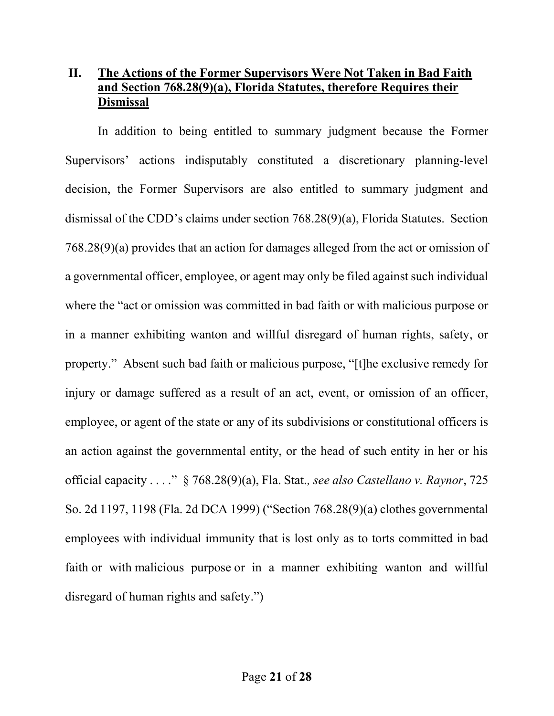# II. The Actions of the Former Supervisors Were Not Taken in Bad Faith and Section 768.28(9)(a), Florida Statutes, therefore Requires their **Dismissal**

In addition to being entitled to summary judgment because the Former Supervisors' actions indisputably constituted a discretionary planning-level decision, the Former Supervisors are also entitled to summary judgment and dismissal of the CDD's claims under section 768.28(9)(a), Florida Statutes. Section 768.28(9)(a) provides that an action for damages alleged from the act or omission of a governmental officer, employee, or agent may only be filed against such individual where the "act or omission was committed in bad faith or with malicious purpose or in a manner exhibiting wanton and willful disregard of human rights, safety, or property." Absent such bad faith or malicious purpose, "[t]he exclusive remedy for injury or damage suffered as a result of an act, event, or omission of an officer, employee, or agent of the state or any of its subdivisions or constitutional officers is an action against the governmental entity, or the head of such entity in her or his official capacity . . . ." § 768.28(9)(a), Fla. Stat., see also Castellano v. Raynor, 725 So. 2d 1197, 1198 (Fla. 2d DCA 1999) ("Section 768.28(9)(a) clothes governmental employees with individual immunity that is lost only as to torts committed in bad faith or with malicious purpose or in a manner exhibiting wanton and willful disregard of human rights and safety.")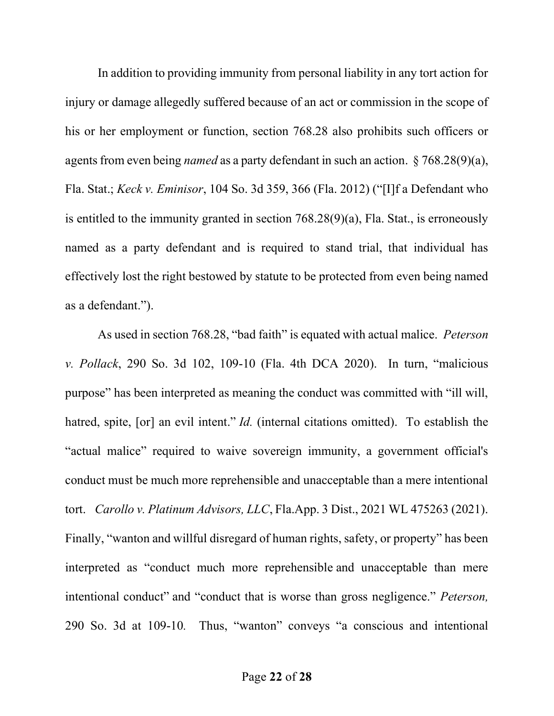In addition to providing immunity from personal liability in any tort action for injury or damage allegedly suffered because of an act or commission in the scope of his or her employment or function, section 768.28 also prohibits such officers or agents from even being named as a party defendant in such an action. § 768.28(9)(a), Fla. Stat.; Keck v. Eminisor, 104 So. 3d 359, 366 (Fla. 2012) ("[I]f a Defendant who is entitled to the immunity granted in section 768.28(9)(a), Fla. Stat., is erroneously named as a party defendant and is required to stand trial, that individual has effectively lost the right bestowed by statute to be protected from even being named as a defendant.").

As used in section 768.28, "bad faith" is equated with actual malice. Peterson v. Pollack, 290 So. 3d 102, 109-10 (Fla. 4th DCA 2020). In turn, "malicious purpose" has been interpreted as meaning the conduct was committed with "ill will, hatred, spite, [or] an evil intent." *Id.* (internal citations omitted). To establish the "actual malice" required to waive sovereign immunity, a government official's conduct must be much more reprehensible and unacceptable than a mere intentional tort. Carollo v. Platinum Advisors, LLC, Fla.App. 3 Dist., 2021 WL 475263 (2021). Finally, "wanton and willful disregard of human rights, safety, or property" has been interpreted as "conduct much more reprehensible and unacceptable than mere intentional conduct" and "conduct that is worse than gross negligence." Peterson, 290 So. 3d at 109-10. Thus, "wanton" conveys "a conscious and intentional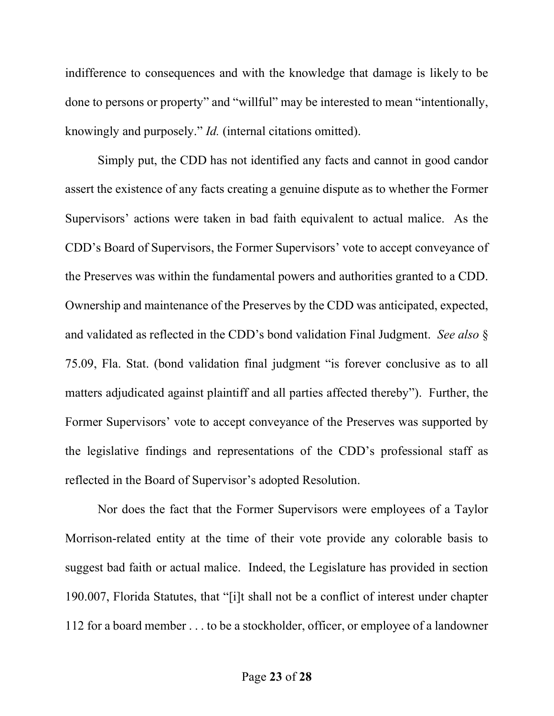indifference to consequences and with the knowledge that damage is likely to be done to persons or property" and "willful" may be interested to mean "intentionally, knowingly and purposely." Id. (internal citations omitted).

Simply put, the CDD has not identified any facts and cannot in good candor assert the existence of any facts creating a genuine dispute as to whether the Former Supervisors' actions were taken in bad faith equivalent to actual malice. As the CDD's Board of Supervisors, the Former Supervisors' vote to accept conveyance of the Preserves was within the fundamental powers and authorities granted to a CDD. Ownership and maintenance of the Preserves by the CDD was anticipated, expected, and validated as reflected in the CDD's bond validation Final Judgment. See also § 75.09, Fla. Stat. (bond validation final judgment "is forever conclusive as to all matters adjudicated against plaintiff and all parties affected thereby"). Further, the Former Supervisors' vote to accept conveyance of the Preserves was supported by the legislative findings and representations of the CDD's professional staff as reflected in the Board of Supervisor's adopted Resolution.

Nor does the fact that the Former Supervisors were employees of a Taylor Morrison-related entity at the time of their vote provide any colorable basis to suggest bad faith or actual malice. Indeed, the Legislature has provided in section 190.007, Florida Statutes, that "[i]t shall not be a conflict of interest under chapter 112 for a board member . . . to be a stockholder, officer, or employee of a landowner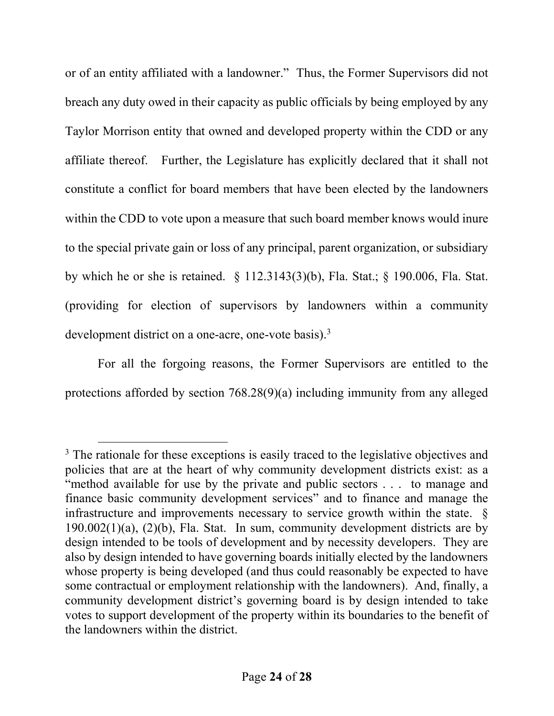or of an entity affiliated with a landowner." Thus, the Former Supervisors did not breach any duty owed in their capacity as public officials by being employed by any Taylor Morrison entity that owned and developed property within the CDD or any affiliate thereof. Further, the Legislature has explicitly declared that it shall not constitute a conflict for board members that have been elected by the landowners within the CDD to vote upon a measure that such board member knows would inure to the special private gain or loss of any principal, parent organization, or subsidiary by which he or she is retained. § 112.3143(3)(b), Fla. Stat.; § 190.006, Fla. Stat. (providing for election of supervisors by landowners within a community development district on a one-acre, one-vote basis).<sup>3</sup>

For all the forgoing reasons, the Former Supervisors are entitled to the protections afforded by section 768.28(9)(a) including immunity from any alleged

<sup>&</sup>lt;sup>3</sup> The rationale for these exceptions is easily traced to the legislative objectives and policies that are at the heart of why community development districts exist: as a "method available for use by the private and public sectors . . . to manage and finance basic community development services" and to finance and manage the infrastructure and improvements necessary to service growth within the state. §  $190.002(1)(a)$ ,  $(2)(b)$ , Fla. Stat. In sum, community development districts are by design intended to be tools of development and by necessity developers. They are also by design intended to have governing boards initially elected by the landowners whose property is being developed (and thus could reasonably be expected to have some contractual or employment relationship with the landowners). And, finally, a community development district's governing board is by design intended to take votes to support development of the property within its boundaries to the benefit of the landowners within the district.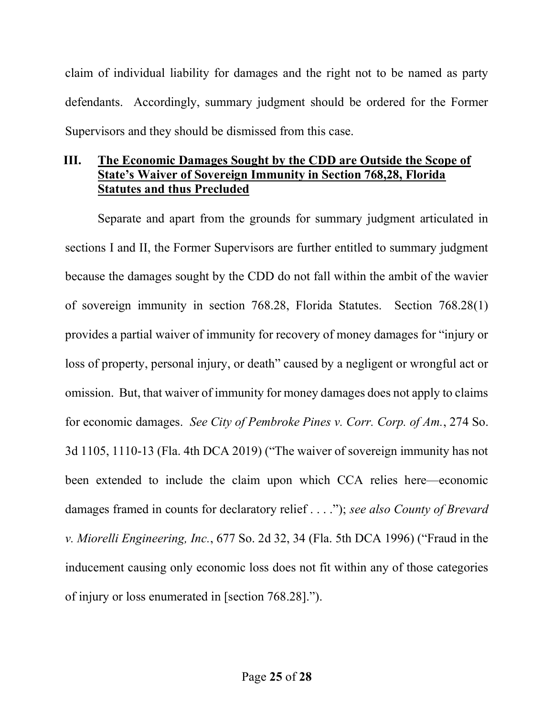claim of individual liability for damages and the right not to be named as party defendants. Accordingly, summary judgment should be ordered for the Former Supervisors and they should be dismissed from this case.

### III. The Economic Damages Sought by the CDD are Outside the Scope of State's Waiver of Sovereign Immunity in Section 768,28, Florida Statutes and thus Precluded

Separate and apart from the grounds for summary judgment articulated in sections I and II, the Former Supervisors are further entitled to summary judgment because the damages sought by the CDD do not fall within the ambit of the wavier of sovereign immunity in section 768.28, Florida Statutes. Section 768.28(1) provides a partial waiver of immunity for recovery of money damages for "injury or loss of property, personal injury, or death" caused by a negligent or wrongful act or omission. But, that waiver of immunity for money damages does not apply to claims for economic damages. See City of Pembroke Pines v. Corr. Corp. of Am., 274 So. 3d 1105, 1110-13 (Fla. 4th DCA 2019) ("The waiver of sovereign immunity has not been extended to include the claim upon which CCA relies here—economic damages framed in counts for declaratory relief . . . ."); see also County of Brevard v. Miorelli Engineering, Inc., 677 So. 2d 32, 34 (Fla. 5th DCA 1996) ("Fraud in the inducement causing only economic loss does not fit within any of those categories of injury or loss enumerated in [section 768.28].").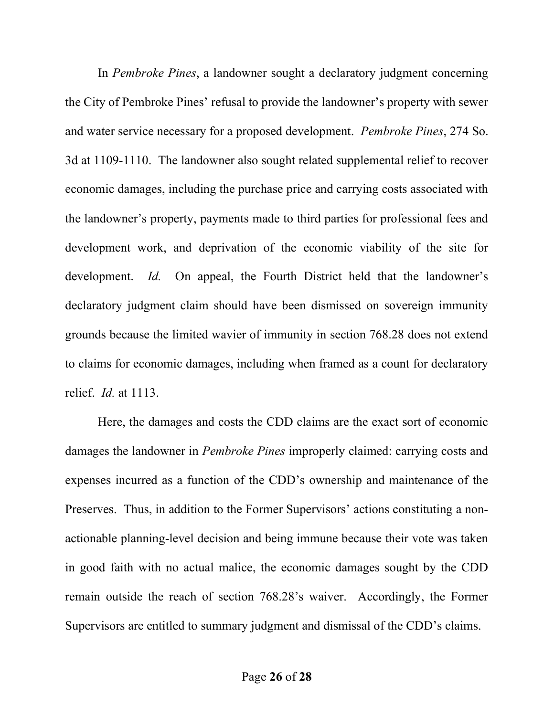In Pembroke Pines, a landowner sought a declaratory judgment concerning the City of Pembroke Pines' refusal to provide the landowner's property with sewer and water service necessary for a proposed development. Pembroke Pines, 274 So. 3d at 1109-1110. The landowner also sought related supplemental relief to recover economic damages, including the purchase price and carrying costs associated with the landowner's property, payments made to third parties for professional fees and development work, and deprivation of the economic viability of the site for development. *Id.* On appeal, the Fourth District held that the landowner's declaratory judgment claim should have been dismissed on sovereign immunity grounds because the limited wavier of immunity in section 768.28 does not extend to claims for economic damages, including when framed as a count for declaratory relief. Id. at 1113.

Here, the damages and costs the CDD claims are the exact sort of economic damages the landowner in Pembroke Pines improperly claimed: carrying costs and expenses incurred as a function of the CDD's ownership and maintenance of the Preserves. Thus, in addition to the Former Supervisors' actions constituting a nonactionable planning-level decision and being immune because their vote was taken in good faith with no actual malice, the economic damages sought by the CDD remain outside the reach of section 768.28's waiver. Accordingly, the Former Supervisors are entitled to summary judgment and dismissal of the CDD's claims.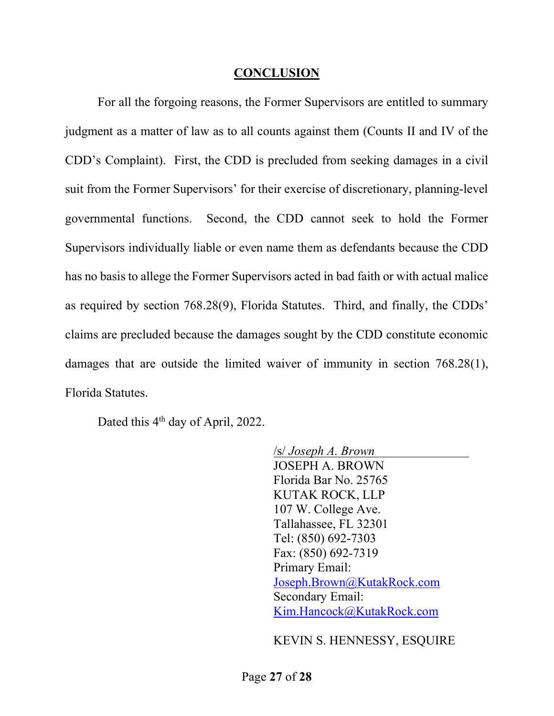### **CONCLUSION**

 For all the forgoing reasons, the Former Supervisors are entitled to summary judgment as a matter of law as to all counts against them (Counts II and IV of the CDD's Complaint). First, the CDD is precluded from seeking damages in a civil suit from the Former Supervisors' for their exercise of discretionary, planning-level governmental functions. Second, the CDD cannot seek to hold the Former Supervisors individually liable or even name them as defendants because the CDD has no basis to allege the Former Supervisors acted in bad faith or with actual malice as required by section 768.28(9), Florida Statutes. Third, and finally, the CDDs' claims are precluded because the damages sought by the CDD constitute economic damages that are outside the limited waiver of immunity in section 768.28(1), Florida Statutes.

Dated this 4<sup>th</sup> day of April, 2022.

/s/ Joseph A. Brown JOSEPH A. BROWN Florida Bar No. 25765 KUTAK ROCK, LLP 107 W. College Ave. Tallahassee, FL 32301 Tel: (850) 692-7303 Fax: (850) 692-7319 Primary Email: Joseph.Brown@KutakRock.com Secondary Email: Kim.Hancock@KutakRock.com

#### KEVIN S. HENNESSY, ESQUIRE